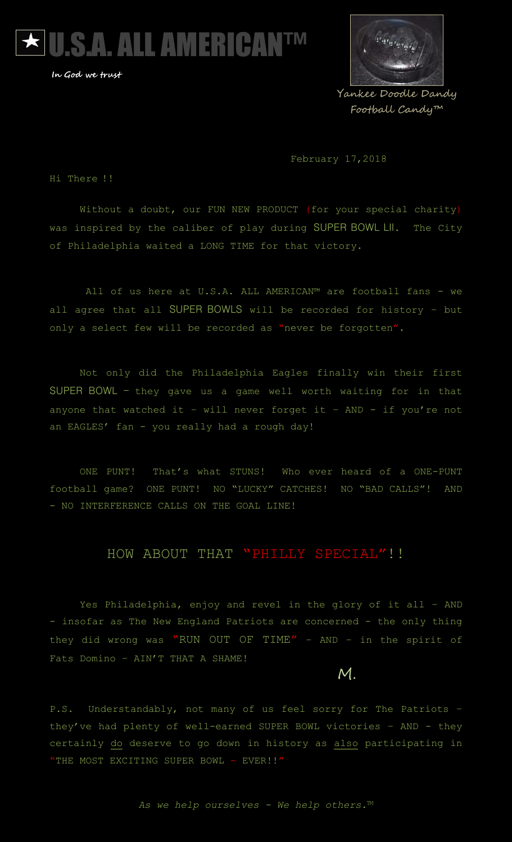



Yankee Doodle Dandy Football Candy™

February 17,2018

Hi There !!

Without a doubt, our FUN NEW PRODUCT (for your special charity) was inspired by the caliber of play during SUPER BOWL LII. The City of Philadelphia waited a LONG TIME for that victory.

All of us here at U.S.A. ALL AMERICAN™ are football fans - we all agree that all SUPER BOWLS will be recorded for history – but only a select few will be recorded as "never be forgotten".

Not only did the Philadelphia Eagles finally win their first SUPER BOWL - they gave us a game well worth waiting for in that anyone that watched it - will never forget it - AND - if you're not an EAGLES' fan - you really had a rough day!

ONE PUNT! That's what STUNS! Who ever heard of a ONE-PUNT football game? ONE PUNT! NO "LUCKY" CATCHES! NO "BAD CALLS"! AND - NO INTERFERENCE CALLS ON THE GOAL LINE!

#### HOW ABOUT THAT "PHILLY SPECIAL" !!

Yes Philadelphia, enjoy and revel in the glory of it all – AND - insofar as The New England Patriots are concerned - the only thing they did wrong was "RUN OUT OF TIME" – AND – in the spirit of Fats Domino – AIN'T THAT A SHAME!

M.

P.S. Understandably, not many of us feel sorry for The Patriots they've had plenty of well-earned SUPER BOWL victories – AND - they certainly do deserve to go down in history as also participating in "THE MOST EXCITING SUPER BOWL - EVER!!"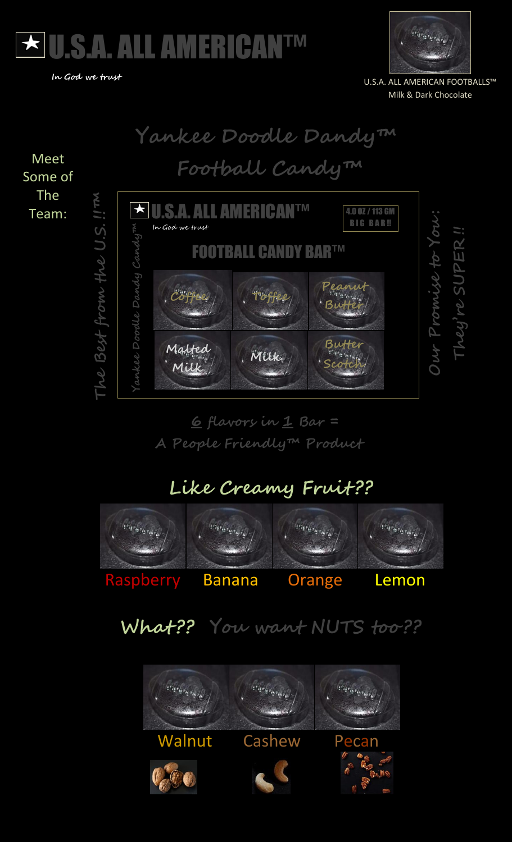



U.S.A. ALL AMERICAN FOOTBALLS™ Milk & Dark Chocolate



 **6 flavors in 1 Bar = A People Friendly™ Product**

## **Like Creamy Fruit ??**



# **What ?? You want NUTS too ??**

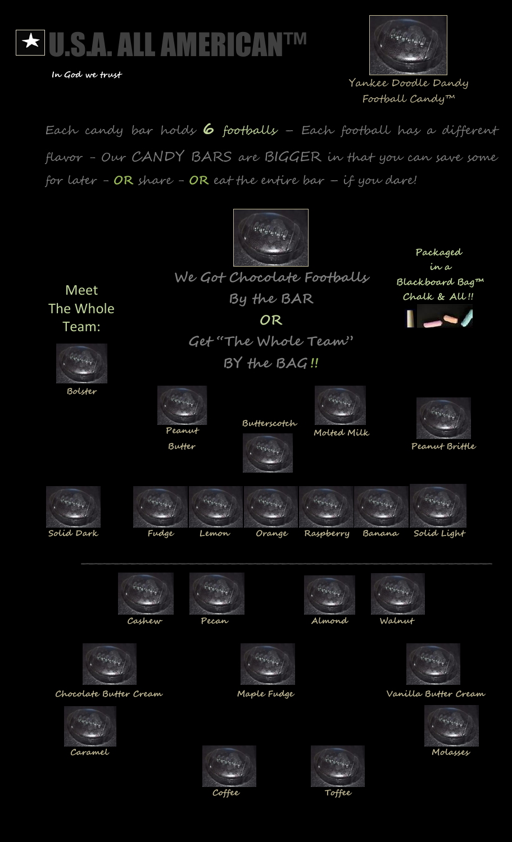



 Yankee Doodle Dandy Football Candy™

Each candy bar holds **6** footballs – Each football has a different flavor - Our CANDY BARS are BIGGER in that you can save some for later - **OR** share - **OR** eat the entire bar – if you dare!